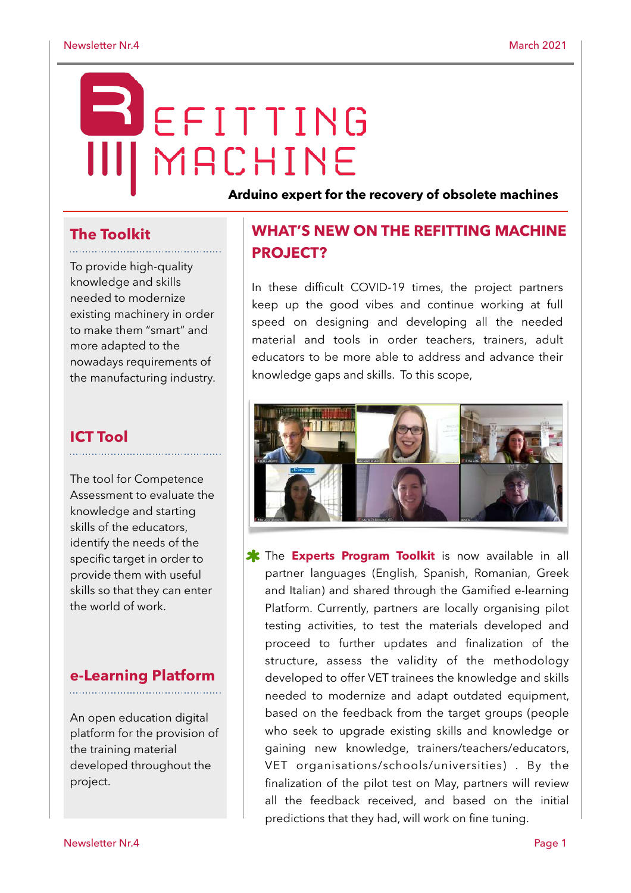# EFITTING MACHINE

**Arduino expert for the recovery of obsolete machines**

## **The Toolkit**

To provide high-quality knowledge and skills needed to modernize existing machinery in order to make them "smart" and more adapted to the nowadays requirements of the manufacturing industry.

## **ICT Tool**

The tool for Competence Assessment to evaluate the knowledge and starting skills of the educators, identify the needs of the specific target in order to provide them with useful skills so that they can enter the world of work.

#### **e-Learning Platform**

An open education digital platform for the provision of the training material developed throughout the project.

## **WHAT'S NEW ON THE REFITTING MACHINE PROJECT?**

In these difficult COVID-19 times, the project partners keep up the good vibes and continue working at full speed on designing and developing all the needed material and tools in order teachers, trainers, adult educators to be more able to address and advance their knowledge gaps and skills. To this scope,



**\*** The **Experts Program Toolkit** is now available in all partner languages (English, Spanish, Romanian, Greek and Italian) and shared through the Gamified e-learning Platform. Currently, partners are locally organising pilot testing activities, to test the materials developed and proceed to further updates and finalization of the structure, assess the validity of the methodology developed to offer VET trainees the knowledge and skills needed to modernize and adapt outdated equipment, based on the feedback from the target groups (people who seek to upgrade existing skills and knowledge or gaining new knowledge, trainers/teachers/educators, VET organisations/schools/universities) . By the finalization of the pilot test on May, partners will review all the feedback received, and based on the initial predictions that they had, will work on fine tuning.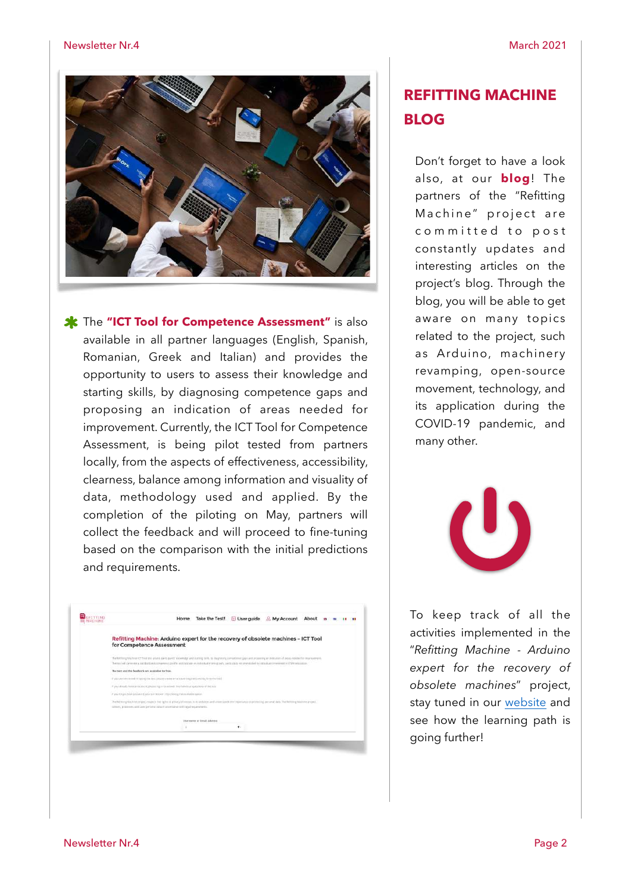

**\*** The "ICT Tool for Competence Assessment" is also available in all partner languages (English, Spanish, Romanian, Greek and Italian) and provides the opportunity to users to assess their knowledge and starting skills, by diagnosing competence gaps and proposing an indication of areas needed for improvement. Currently, the ICT Tool for Competence Assessment, is being pilot tested from partners locally, from the aspects of effectiveness, accessibility, clearness, balance among information and visuality of data, methodology used and applied. By the completion of the piloting on May, partners will collect the feedback and will proceed to fine-tuning based on the comparison with the initial predictions and requirements.

| <b>BELLETTING</b><br><b>III MACHINE</b> |                                                                                                                                                                                                                                                                                                                                                                          |
|-----------------------------------------|--------------------------------------------------------------------------------------------------------------------------------------------------------------------------------------------------------------------------------------------------------------------------------------------------------------------------------------------------------------------------|
|                                         | Refitting Machine: Arduino expert for the recovery of obsolete machines - ICT Tool<br>for Competence Assessment                                                                                                                                                                                                                                                          |
|                                         | The Melthoug Machiner of T Tool levil and and purely transmission and Uartikip UARL by hispycomia competence gaint and received an indication of areas weeded for monitorement.<br>The restrict presents is subdistributions completely profile and highway are reducided material parts at the complete on provididate in initial dealer treatments of CFDA administra- |
|                                         | The text and the fauthor's are available for free.                                                                                                                                                                                                                                                                                                                       |
|                                         | If you considered it latest the text presences are account treated and by investmental                                                                                                                                                                                                                                                                                   |
|                                         | If you already to ke an account, prevention to premier the industrial questions of the rese                                                                                                                                                                                                                                                                              |
|                                         | If you need to an possessed was rain onlocal into choose the auxiliaria compi-                                                                                                                                                                                                                                                                                           |
|                                         | The Indiana Wachine project respects the lights of phosphotomizers to its website, and anterigated the indiscuss of protecting personal data. The lighting hischne protect<br>collect, process, and user period into it approaps with land responsivo.                                                                                                                   |
|                                         | Usersame or line2 Akleses                                                                                                                                                                                                                                                                                                                                                |
|                                         | ٠                                                                                                                                                                                                                                                                                                                                                                        |
|                                         |                                                                                                                                                                                                                                                                                                                                                                          |

## **REFITTING MACHINE BLOG**

Don't forget to have a look also, at our **[blog](https://refittingmachine.eu/blog/)**! The partners of the "Refitting Machine" project are committed to post constantly updates and interesting articles on the project's blog. Through the blog, you will be able to get aware on many topics related to the project, such as Arduino, machinery revamping, open-source movement, technology, and its application during the COVID-19 pandemic, and many other.



To keep track of all the activities implemented in the "*Refitting Machine - Arduino expert for the recovery of obsolete machines*" project, stay tuned in our [website](https://refittingmachine.eu/) and see how the learning path is going further!